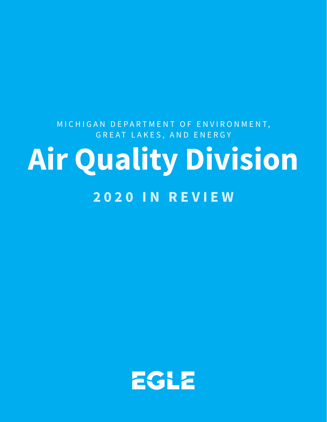## **2020 IN REVIEW** MICHIGAN DEPARTMENT OF ENVIRONMENT, GREAT LAKES, AND ENERGY **Air Quality Division**

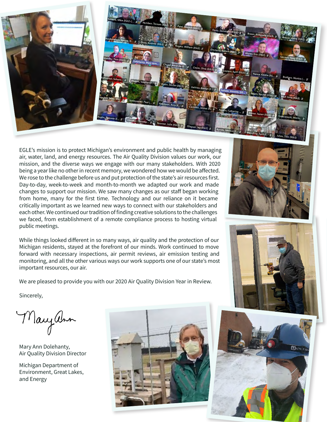

EGLE's mission is to protect Michigan's environment and public health by managing air, water, land, and energy resources. The Air Quality Division values our work, our mission, and the diverse ways we engage with our many stakeholders. With 2020 being a year like no other in recent memory, we wondered how we would be affected. We rose to the challenge before us and put protection of the state's air resources first. Day-to-day, week-to-week and month-to-month we adapted our work and made changes to support our mission. We saw many changes as our staff began working from home, many for the first time. Technology and our reliance on it became critically important as we learned new ways to connect with our stakeholders and each other. We continued our tradition of finding creative solutions to the challenges we faced, from establishment of a remote compliance process to hosting virtual public meetings.

While things looked different in so many ways, air quality and the protection of our Michigan residents, stayed at the forefront of our minds. Work continued to move forward with necessary inspections, air permit reviews, air emission testing and monitoring, and all the other various ways our work supports one of our state's most important resources, our air.

We are pleased to provide you with our 2020 Air Quality Division Year in Review.

Sincerely,

Mayann

Mary Ann Dolehanty, Air Quality Division Director

Michigan Department of Environment, Great Lakes, and Energy







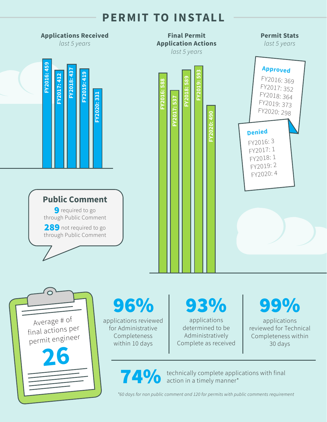## **PERMIT TO INSTALL**



**14%** technically complete applications with final action in a timely manner\*

*\*60 days for non public comment and 120 for permits with public comments requirement*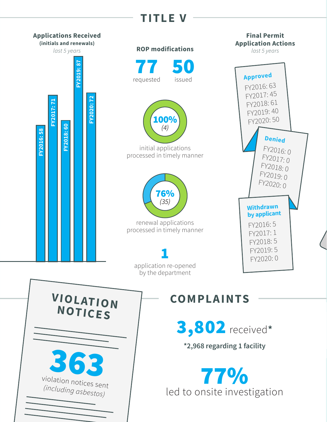## **PERMITTLE V**

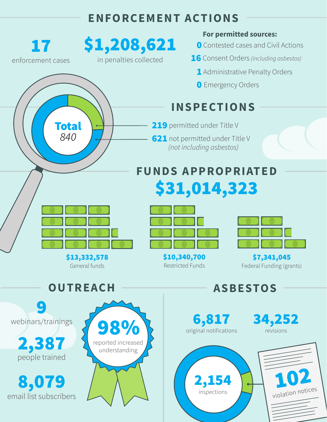## **ENFORCEMENT ACTIONS**